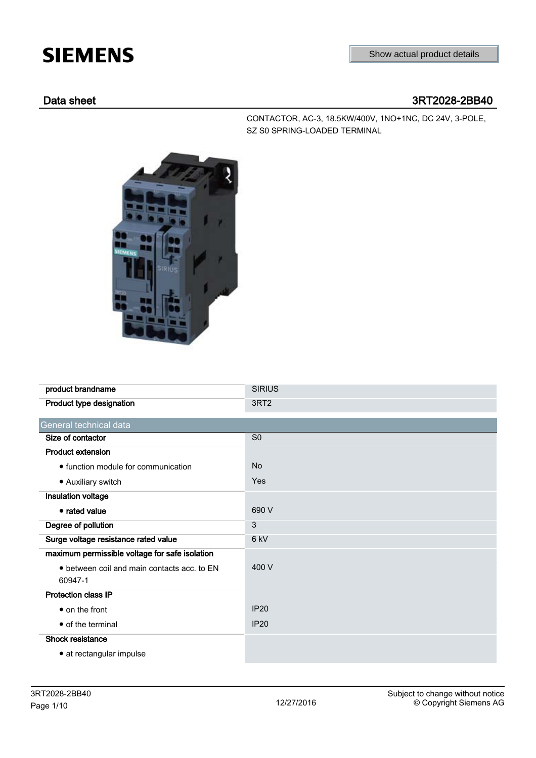# **SIEMENS**

## Data sheet 3RT2028-2BB40

CONTACTOR, AC-3, 18.5KW/400V, 1NO+1NC, DC 24V, 3-POLE, SZ S0 SPRING-LOADED TERMINAL



| product brandname                              | <b>SIRIUS</b>    |
|------------------------------------------------|------------------|
| Product type designation                       | 3RT <sub>2</sub> |
| General technical data                         |                  |
| Size of contactor                              | S <sub>0</sub>   |
| <b>Product extension</b>                       |                  |
| • function module for communication            | <b>No</b>        |
| • Auxiliary switch                             | Yes              |
| Insulation voltage                             |                  |
| • rated value                                  | 690 V            |
| Degree of pollution                            | 3                |
| Surge voltage resistance rated value           | 6 kV             |
| maximum permissible voltage for safe isolation |                  |
| • between coil and main contacts acc. to EN    | 400 V            |
| 60947-1                                        |                  |
| <b>Protection class IP</b>                     |                  |
| • on the front                                 | <b>IP20</b>      |
| • of the terminal                              | <b>IP20</b>      |
| Shock resistance                               |                  |
| • at rectangular impulse                       |                  |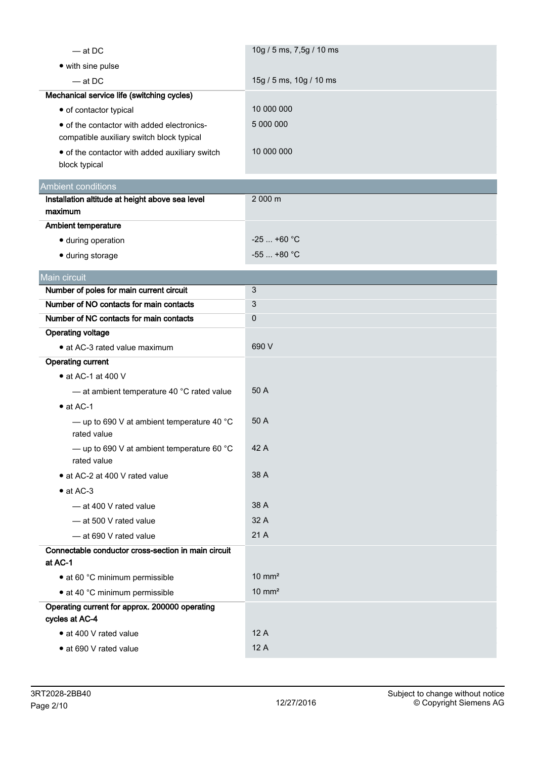| $-$ at DC                                                                               | 10g / 5 ms, 7,5g / 10 ms |
|-----------------------------------------------------------------------------------------|--------------------------|
| • with sine pulse                                                                       |                          |
| $-$ at DC                                                                               | 15g / 5 ms, 10g / 10 ms  |
| Mechanical service life (switching cycles)                                              |                          |
| • of contactor typical                                                                  | 10 000 000               |
| • of the contactor with added electronics-<br>compatible auxiliary switch block typical | 5 000 000                |
| • of the contactor with added auxiliary switch<br>block typical                         | 10 000 000               |
| <b>Ambient conditions</b>                                                               |                          |
| Installation altitude at height above sea level                                         | 2 000 m                  |
| maximum                                                                                 |                          |
| Ambient temperature                                                                     |                          |
| · during operation                                                                      | $-25$ +60 °C             |
| · during storage                                                                        | $-55$ +80 °C             |
| Main circuit                                                                            |                          |
| Number of poles for main current circuit                                                | 3                        |
| Number of NO contacts for main contacts                                                 | 3                        |
| Number of NC contacts for main contacts                                                 | 0                        |
| <b>Operating voltage</b>                                                                |                          |
| • at AC-3 rated value maximum                                                           | 690 V                    |
| <b>Operating current</b>                                                                |                          |
| $\bullet$ at AC-1 at 400 V                                                              |                          |
| - at ambient temperature 40 °C rated value                                              | 50 A                     |
| $\bullet$ at AC-1                                                                       |                          |
| - up to 690 V at ambient temperature 40 $^{\circ}$ C<br>rated value                     | 50 A                     |
| - up to 690 V at ambient temperature 60 $^{\circ}$ C<br>rated value                     | 42 A                     |
| • at AC-2 at 400 V rated value                                                          | 38 A                     |
| $\bullet$ at AC-3                                                                       |                          |
| - at 400 V rated value                                                                  | 38 A                     |
| - at 500 V rated value                                                                  | 32 A                     |
| - at 690 V rated value                                                                  | 21 A                     |
| Connectable conductor cross-section in main circuit<br>at AC-1                          |                          |
| • at 60 °C minimum permissible                                                          | $10 \text{ mm}^2$        |
| • at 40 °C minimum permissible                                                          | $10 \text{ mm}^2$        |
| Operating current for approx. 200000 operating<br>cycles at AC-4                        |                          |
| • at 400 V rated value                                                                  | 12 A                     |
| • at 690 V rated value                                                                  | 12 A                     |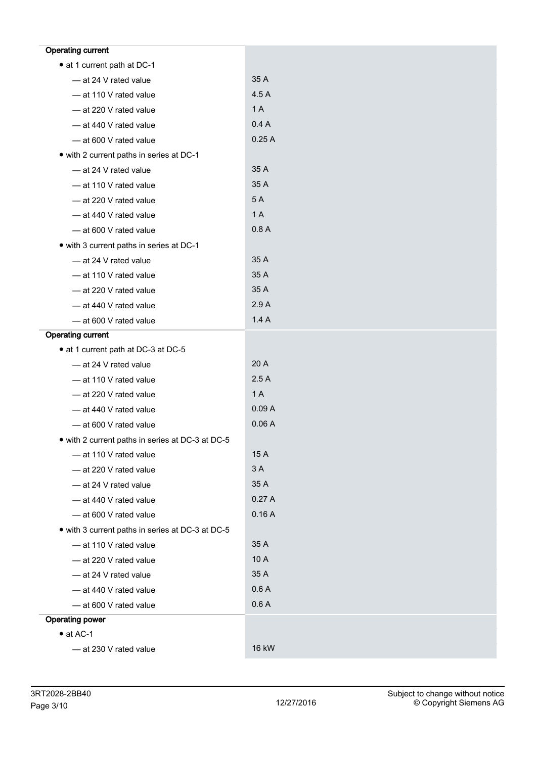| <b>Operating current</b>                         |       |
|--------------------------------------------------|-------|
| • at 1 current path at DC-1                      |       |
| - at 24 V rated value                            | 35 A  |
| - at 110 V rated value                           | 4.5 A |
| - at 220 V rated value                           | 1 A   |
| - at 440 V rated value                           | 0.4A  |
| - at 600 V rated value                           | 0.25A |
| • with 2 current paths in series at DC-1         |       |
| - at 24 V rated value                            | 35 A  |
| - at 110 V rated value                           | 35 A  |
| - at 220 V rated value                           | 5 A   |
| - at 440 V rated value                           | 1 A   |
| - at 600 V rated value                           | 0.8A  |
| • with 3 current paths in series at DC-1         |       |
| - at 24 V rated value                            | 35 A  |
| - at 110 V rated value                           | 35 A  |
| - at 220 V rated value                           | 35 A  |
| - at 440 V rated value                           | 2.9A  |
| - at 600 V rated value                           | 1.4A  |
| <b>Operating current</b>                         |       |
| • at 1 current path at DC-3 at DC-5              |       |
| - at 24 V rated value                            | 20 A  |
| - at 110 V rated value                           | 2.5A  |
| - at 220 V rated value                           | 1 A   |
| - at 440 V rated value                           | 0.09A |
| - at 600 V rated value                           | 0.06A |
| • with 2 current paths in series at DC-3 at DC-5 |       |
| - at 110 V rated value                           | 15 A  |
| - at 220 V rated value                           | 3A    |
| - at 24 V rated value                            | 35 A  |
| - at 440 V rated value                           | 0.27A |
| - at 600 V rated value                           | 0.16A |
| • with 3 current paths in series at DC-3 at DC-5 |       |
| - at 110 V rated value                           | 35 A  |
| - at 220 V rated value                           | 10 A  |
| - at 24 V rated value                            | 35 A  |
| - at 440 V rated value                           | 0.6A  |
| - at 600 V rated value                           | 0.6A  |
| <b>Operating power</b>                           |       |
| $\bullet$ at AC-1                                |       |
| - at 230 V rated value                           | 16 kW |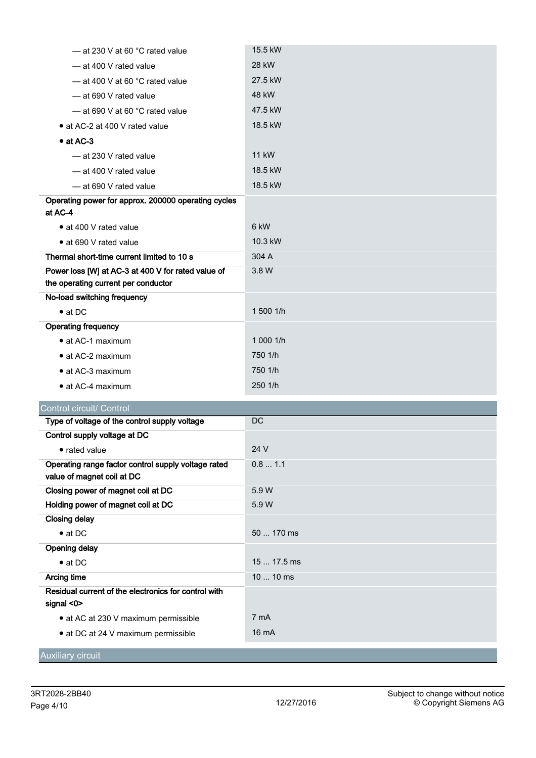| - at 230 V at 60 °C rated value                     | 15.5 kW      |
|-----------------------------------------------------|--------------|
| - at 400 V rated value                              | 28 kW        |
| $-$ at 400 V at 60 °C rated value                   | 27.5 kW      |
| -at 690 V rated value                               | 48 kW        |
| $-$ at 690 V at 60 °C rated value                   | 47.5 kW      |
| • at AC-2 at 400 V rated value                      | 18.5 kW      |
| $\bullet$ at AC-3                                   |              |
| -at 230 V rated value                               | <b>11 kW</b> |
| - at 400 V rated value                              | 18.5 kW      |
| - at 690 V rated value                              | 18.5 kW      |
| Operating power for approx. 200000 operating cycles |              |
| at AC-4                                             |              |
| • at 400 V rated value                              | 6 kW         |
| • at 690 V rated value                              | 10.3 kW      |
| Thermal short-time current limited to 10 s          | 304 A        |
| Power loss [W] at AC-3 at 400 V for rated value of  | 3.8 W        |
| the operating current per conductor                 |              |
| No-load switching frequency                         |              |
| $\bullet$ at DC                                     | 1 500 1/h    |
| <b>Operating frequency</b>                          |              |
| • at AC-1 maximum                                   | 1 000 1/h    |
| • at AC-2 maximum                                   | 750 1/h      |
| • at AC-3 maximum                                   | 750 1/h      |
| • at AC-4 maximum                                   | 250 1/h      |
| Control circuit/ Control                            |              |
| Type of voltage of the control supply voltage       | DC           |
| Control supply voltage at DC                        |              |

| Control supply voltage at DC                         |                 |
|------------------------------------------------------|-----------------|
| • rated value                                        | 24 V            |
| Operating range factor control supply voltage rated  | 0.81.1          |
| value of magnet coil at DC                           |                 |
| Closing power of magnet coil at DC                   | 5.9 W           |
| Holding power of magnet coil at DC                   | 5.9 W           |
| <b>Closing delay</b>                                 |                 |
| $\bullet$ at DC                                      | 50  170 ms      |
| <b>Opening delay</b>                                 |                 |
| $\bullet$ at DC                                      | $1517.5$ ms     |
| Arcing time                                          | 10  10 ms       |
| Residual current of the electronics for control with |                 |
| signal $<$ 0 $>$                                     |                 |
| • at AC at 230 V maximum permissible                 | 7 mA            |
| • at DC at 24 V maximum permissible                  | $16 \text{ mA}$ |
|                                                      |                 |
| <b>Auxiliary circuit</b>                             |                 |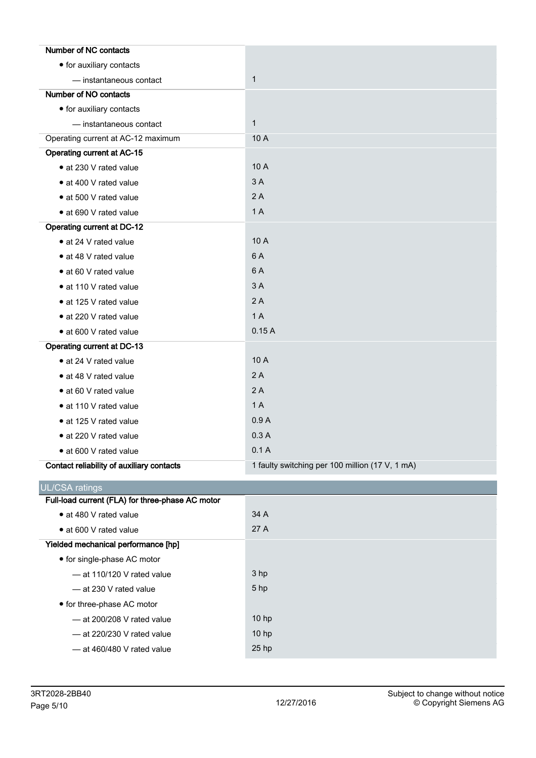| Number of NC contacts                            |                                                 |
|--------------------------------------------------|-------------------------------------------------|
| • for auxiliary contacts                         |                                                 |
| - instantaneous contact                          | $\mathbf{1}$                                    |
| Number of NO contacts                            |                                                 |
| • for auxiliary contacts                         |                                                 |
| - instantaneous contact                          | $\mathbf{1}$                                    |
| Operating current at AC-12 maximum               | 10 A                                            |
| Operating current at AC-15                       |                                                 |
| • at 230 V rated value                           | 10 A                                            |
| • at 400 V rated value                           | 3A                                              |
| • at 500 V rated value                           | 2A                                              |
| • at 690 V rated value                           | 1 A                                             |
| Operating current at DC-12                       |                                                 |
| • at 24 V rated value                            | 10 A                                            |
| • at 48 V rated value                            | 6 A                                             |
| • at 60 V rated value                            | 6 A                                             |
| • at 110 V rated value                           | 3A                                              |
| • at 125 V rated value                           | 2A                                              |
| • at 220 V rated value                           | 1 A                                             |
| • at 600 V rated value                           | 0.15A                                           |
| <b>Operating current at DC-13</b>                |                                                 |
| • at 24 V rated value                            | 10 A                                            |
| • at 48 V rated value                            | 2A                                              |
| • at 60 V rated value                            | 2A                                              |
| • at 110 V rated value                           | 1 A                                             |
| • at 125 V rated value                           | 0.9A                                            |
| • at 220 V rated value                           | 0.3A                                            |
| · at 600 V rated value                           | 0.1A                                            |
| Contact reliability of auxiliary contacts        | 1 faulty switching per 100 million (17 V, 1 mA) |
| <b>UL/CSA ratings</b>                            |                                                 |
| Full-load current (FLA) for three-phase AC motor |                                                 |
| • at 480 V rated value                           | 34 A                                            |
| • at 600 V rated value                           | 27 A                                            |
| Yielded mechanical performance [hp]              |                                                 |
| • for single-phase AC motor                      |                                                 |
| - at 110/120 V rated value                       | 3 hp                                            |
| - at 230 V rated value                           | 5 hp                                            |
| • for three-phase AC motor                       |                                                 |
| - at 200/208 V rated value                       | 10 hp                                           |
| - at 220/230 V rated value                       | 10 hp                                           |
| - at 460/480 V rated value                       | 25 hp                                           |
|                                                  |                                                 |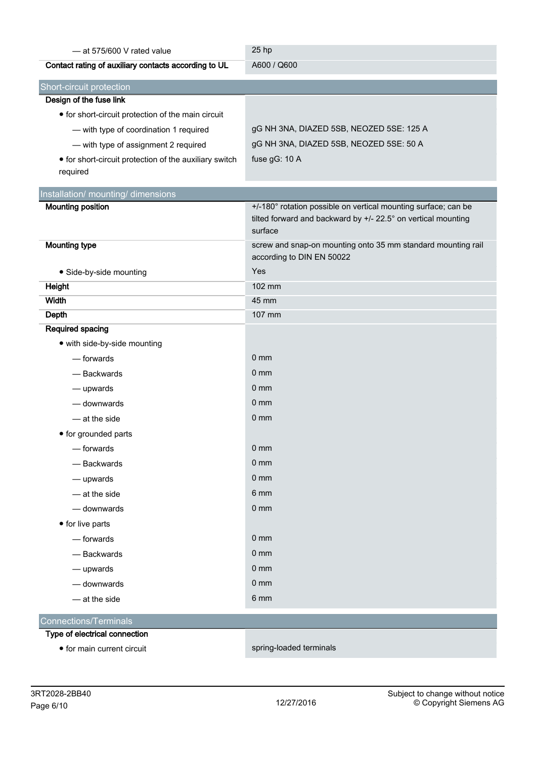| - at 575/600 V rated value                                         | 25 hp                                                                                     |
|--------------------------------------------------------------------|-------------------------------------------------------------------------------------------|
| Contact rating of auxiliary contacts according to UL               | A600 / Q600                                                                               |
| Short-circuit protection                                           |                                                                                           |
| Design of the fuse link                                            |                                                                                           |
| • for short-circuit protection of the main circuit                 |                                                                                           |
| - with type of coordination 1 required                             | gG NH 3NA, DIAZED 5SB, NEOZED 5SE: 125 A                                                  |
| - with type of assignment 2 required                               | gG NH 3NA, DIAZED 5SB, NEOZED 5SE: 50 A                                                   |
| • for short-circuit protection of the auxiliary switch<br>required | fuse gG: 10 A                                                                             |
| Installation/ mounting/ dimensions                                 |                                                                                           |
| <b>Mounting position</b>                                           | +/-180° rotation possible on vertical mounting surface; can be                            |
|                                                                    | tilted forward and backward by +/- 22.5° on vertical mounting<br>surface                  |
| <b>Mounting type</b>                                               | screw and snap-on mounting onto 35 mm standard mounting rail<br>according to DIN EN 50022 |
| • Side-by-side mounting                                            | Yes                                                                                       |
| Height                                                             | 102 mm                                                                                    |
| Width                                                              | 45 mm                                                                                     |
| <b>Depth</b>                                                       | 107 mm                                                                                    |
| Required spacing                                                   |                                                                                           |
| • with side-by-side mounting                                       |                                                                                           |
| - forwards                                                         | 0 <sub>mm</sub>                                                                           |
| - Backwards                                                        | $0 \text{ mm}$                                                                            |
| - upwards                                                          | $0 \text{ mm}$                                                                            |
| - downwards                                                        | $0 \text{ mm}$                                                                            |
| - at the side                                                      | 0 <sub>mm</sub>                                                                           |
| • for grounded parts                                               |                                                                                           |
| - forwards                                                         | $0 \text{ mm}$                                                                            |
| - Backwards                                                        | 0 <sub>mm</sub>                                                                           |
| - upwards                                                          | 0 <sub>mm</sub>                                                                           |
| - at the side                                                      | 6 mm                                                                                      |
| - downwards                                                        | 0 <sub>mm</sub>                                                                           |
| • for live parts                                                   |                                                                                           |
| - forwards                                                         | 0 <sub>mm</sub>                                                                           |
| - Backwards                                                        | 0 <sub>mm</sub>                                                                           |
| — upwards                                                          | 0 <sub>mm</sub>                                                                           |
| - downwards                                                        | 0 <sub>mm</sub>                                                                           |
| - at the side                                                      | 6 mm                                                                                      |
| <b>Connections/Terminals</b>                                       |                                                                                           |
| Type of electrical connection                                      |                                                                                           |
| • for main current circuit                                         | spring-loaded terminals                                                                   |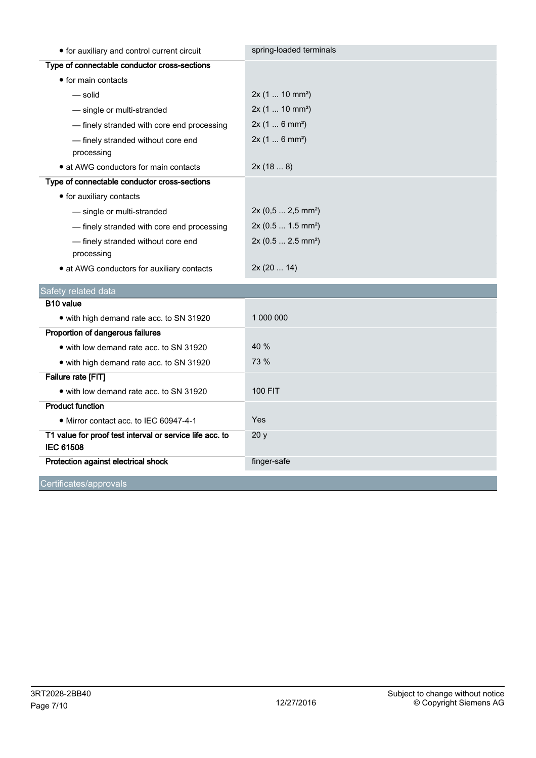| • for auxiliary and control current circuit                                  | spring-loaded terminals        |
|------------------------------------------------------------------------------|--------------------------------|
| Type of connectable conductor cross-sections                                 |                                |
| • for main contacts                                                          |                                |
| — solid                                                                      | 2x(110 mm <sup>2</sup> )       |
| - single or multi-stranded                                                   | 2x(110 mm <sup>2</sup> )       |
| - finely stranded with core end processing                                   | 2x(16 mm <sup>2</sup> )        |
| - finely stranded without core end<br>processing                             | 2x(16 mm <sup>2</sup> )        |
| • at AWG conductors for main contacts                                        | 2x(188)                        |
| Type of connectable conductor cross-sections                                 |                                |
| • for auxiliary contacts                                                     |                                |
| - single or multi-stranded                                                   | 2x (0,5  2,5 mm <sup>2</sup> ) |
| - finely stranded with core end processing                                   | 2x (0.5  1.5 mm <sup>2</sup> ) |
| - finely stranded without core end<br>processing                             | 2x (0.5  2.5 mm <sup>2</sup> ) |
| • at AWG conductors for auxiliary contacts                                   | 2x(2014)                       |
| Safety related data                                                          |                                |
| B <sub>10</sub> value                                                        |                                |
| • with high demand rate acc. to SN 31920                                     | 1 000 000                      |
| Proportion of dangerous failures                                             |                                |
| • with low demand rate acc. to SN 31920                                      | 40 %                           |
| • with high demand rate acc. to SN 31920                                     | 73 %                           |
| Failure rate [FIT]                                                           |                                |
| • with low demand rate acc. to SN 31920                                      | <b>100 FIT</b>                 |
| <b>Product function</b>                                                      |                                |
| • Mirror contact acc. to IEC 60947-4-1                                       | Yes                            |
| T1 value for proof test interval or service life acc. to<br><b>IEC 61508</b> | 20y                            |
| Protection against electrical shock                                          | finger-safe                    |
| Certificates/approvals                                                       |                                |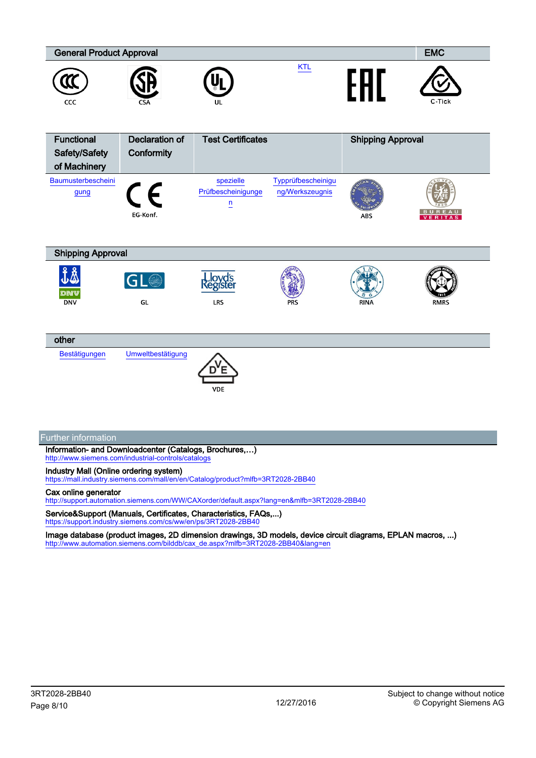

### Industry Mall (Online ordering system)

<https://mall.industry.siemens.com/mall/en/en/Catalog/product?mlfb=3RT2028-2BB40>

#### Cax online generator

<http://support.automation.siemens.com/WW/CAXorder/default.aspx?lang=en&mlfb=3RT2028-2BB40>

Service&Support (Manuals, Certificates, Characteristics, FAQs,...) <https://support.industry.siemens.com/cs/ww/en/ps/3RT2028-2BB40>

Image database (product images, 2D dimension drawings, 3D models, device circuit diagrams, EPLAN macros, ...) [http://www.automation.siemens.com/bilddb/cax\\_de.aspx?mlfb=3RT2028-2BB40&lang=en](http://www.automation.siemens.com/bilddb/cax_de.aspx?mlfb=3RT2028-2BB40&lang=en)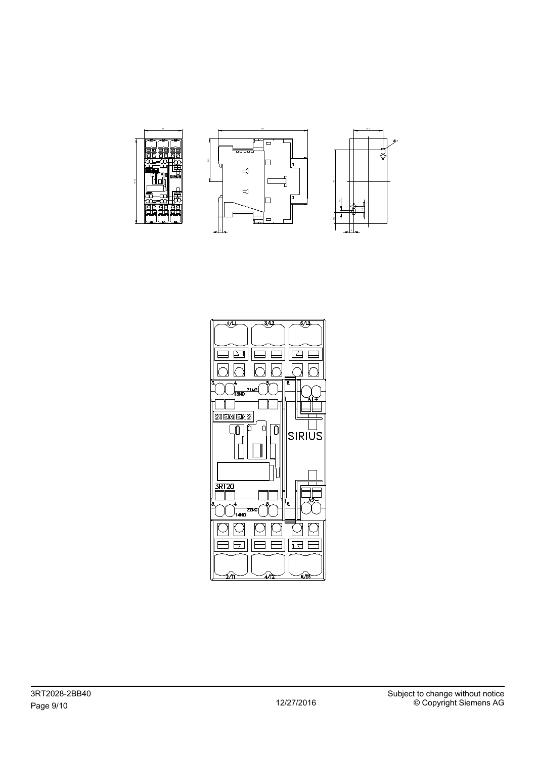